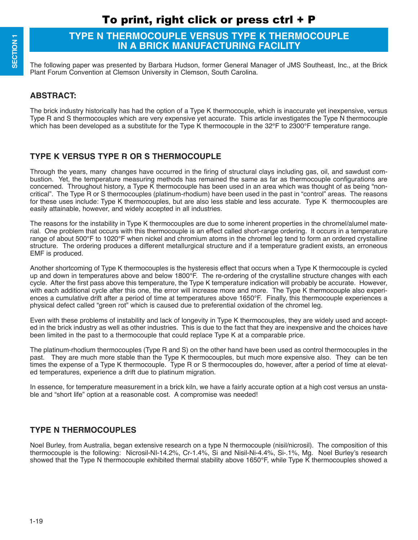# **TYPE N THERMOCOUPLE VERSUS TYPE K THERMOCOUPLE IN A BRICK MANUFACTURING FACILITY**

The following paper was presented by Barbara Hudson, former General Manager of JMS Southeast, Inc., at the Brick Plant Forum Convention at Clemson University in Clemson, South Carolina.

## **ABSTRACT:**

The brick industry historically has had the option of a Type K thermocouple, which is inaccurate yet inexpensive, versus Type R and S thermocouples which are very expensive yet accurate. This article investigates the Type N thermocouple which has been developed as a substitute for the Type K thermocouple in the 32°F to 2300°F temperature range.

## **TYPE K VERSUS TYPE R OR S THERMOCOUPLE**

Through the years, many changes have occurred in the firing of structural clays including gas, oil, and sawdust combustion. Yet, the temperature measuring methods has remained the same as far as thermocouple configurations are concerned. Throughout history, a Type K thermocouple has been used in an area which was thought of as being "noncritical". The Type R or S thermocouples (platinum-rhodium) have been used in the past in "control" areas. The reasons for these uses include: Type K thermocouples, but are also less stable and less accurate. Type K thermocouples are easily attainable, however, and widely accepted in all industries.

The reasons for the instability in Type K thermocouples are due to some inherent properties in the chromel/alumel material. One problem that occurs with this thermocouple is an effect called short-range ordering. It occurs in a temperature range of about 500°F to 1020°F when nickel and chromium atoms in the chromel leg tend to form an ordered crystalline structure. The ordering produces a different metallurgical structure and if a temperature gradient exists, an erroneous EMF is produced.

Another shortcoming of Type K thermocouples is the hysteresis effect that occurs when a Type K thermocouple is cycled up and down in temperatures above and below 1800°F. The re-ordering of the crystalline structure changes with each cycle. After the first pass above this temperature, the Type K temperature indication will probably be accurate. However, with each additional cycle after this one, the error will increase more and more. The Type K thermocouple also experiences a cumulative drift after a period of time at temperatures above 1650°F. Finally, this thermocouple experiences a physical defect called "green rot" which is caused due to preferential oxidation of the chromel leg.

Even with these problems of instability and lack of longevity in Type K thermocouples, they are widely used and accepted in the brick industry as well as other industries. This is due to the fact that they are inexpensive and the choices have been limited in the past to a thermocouple that could replace Type K at a comparable price.

The platinum-rhodium thermocouples (Type R and S) on the other hand have been used as control thermocouples in the past. They are much more stable than the Type K thermocouples, but much more expensive also. They can be ten times the expense of a Type K thermocouple. Type R or S thermocouples do, however, after a period of time at elevated temperatures, experience a drift due to platinum migration.

In essence, for temperature measurement in a brick kiln, we have a fairly accurate option at a high cost versus an unstable and "short life" option at a reasonable cost. A compromise was needed!

### **TYPE N THERMOCOUPLES**

Noel Burley, from Australia, began extensive research on a type N thermocouple (nisil/nicrosil). The composition of this thermocouple is the following: Nicrosil-NI-14.2%, Cr-1.4%, Si and Nisil-Ni-4.4%, Si-.1%, Mg. Noel Burley's research showed that the Type N thermocouple exhibited thermal stability above 1650°F, while Type K thermocouples showed a